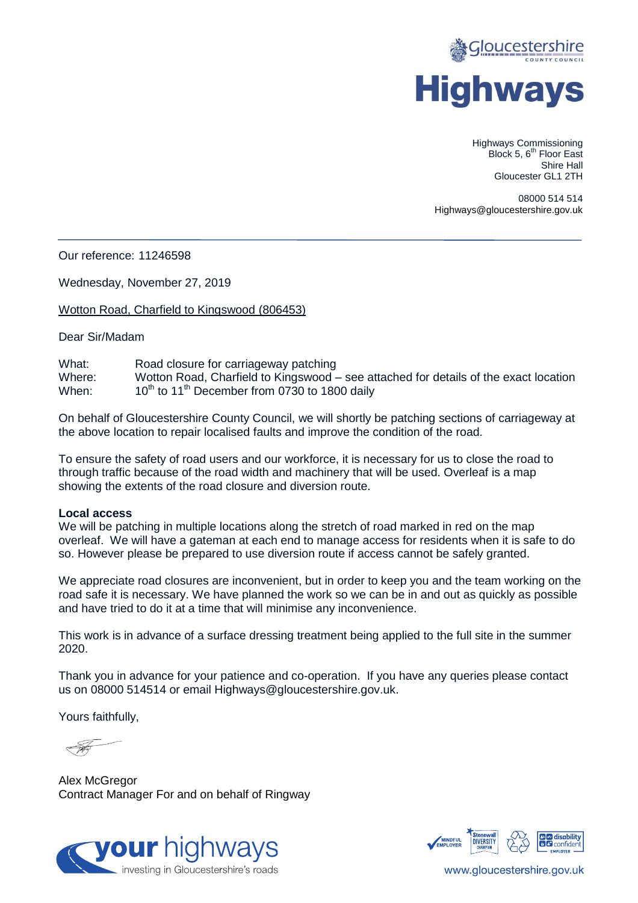

Highways Commissioning Block 5, 6<sup>th</sup> Floor East Shire Hall Gloucester GL1 2TH

08000 514 514 Highways@gloucestershire.gov.uk

Our reference: 11246598

Wednesday, November 27, 2019

Wotton Road, Charfield to Kingswood (806453)

Dear Sir/Madam

What: Road closure for carriageway patching Where: Wotton Road, Charfield to Kingswood – see attached for details of the exact location When:  $10^{\text{th}}$  to  $11^{\text{th}}$  December from 0730 to 1800 daily  $10^{th}$  to 11<sup>th</sup> December from 0730 to 1800 daily

On behalf of Gloucestershire County Council, we will shortly be patching sections of carriageway at the above location to repair localised faults and improve the condition of the road.

To ensure the safety of road users and our workforce, it is necessary for us to close the road to through traffic because of the road width and machinery that will be used. Overleaf is a map showing the extents of the road closure and diversion route.

## **Local access**

We will be patching in multiple locations along the stretch of road marked in red on the map overleaf. We will have a gateman at each end to manage access for residents when it is safe to do so. However please be prepared to use diversion route if access cannot be safely granted.

We appreciate road closures are inconvenient, but in order to keep you and the team working on the road safe it is necessary. We have planned the work so we can be in and out as quickly as possible and have tried to do it at a time that will minimise any inconvenience.

This work is in advance of a surface dressing treatment being applied to the full site in the summer 2020.

Thank you in advance for your patience and co-operation. If you have any queries please contact us on 08000 514514 or email Highways@gloucestershire.gov.uk.

Yours faithfully,

Alex McGregor Contract Manager For and on behalf of Ringway





www.gloucestershire.gov.uk